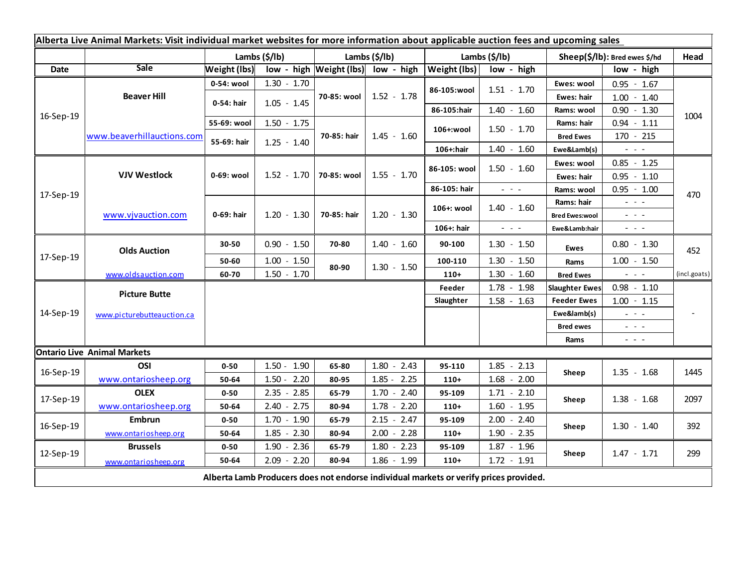| Alberta Live Animal Markets: Visit individual market websites for more information about applicable auction fees and upcoming sales |                            |                     |                       |             |                                    |                     |                         |                       |                                                                                                                           |              |
|-------------------------------------------------------------------------------------------------------------------------------------|----------------------------|---------------------|-----------------------|-------------|------------------------------------|---------------------|-------------------------|-----------------------|---------------------------------------------------------------------------------------------------------------------------|--------------|
|                                                                                                                                     |                            |                     | Lambs $(\frac{2}{3})$ |             | Lambs $(\frac{2}{3})$              |                     | Lambs $(\frac{2}{3})$   |                       | Sheep(\$/lb): Bred ewes \$/hd                                                                                             |              |
| Date                                                                                                                                | <b>Sale</b>                | <b>Weight (lbs)</b> |                       |             | low - high Weight (lbs) low - high | <b>Weight (lbs)</b> | low - high              |                       | low - high                                                                                                                |              |
| 16-Sep-19                                                                                                                           | <b>Beaver Hill</b>         | 0-54: wool          | $1.30 - 1.70$         |             | $1.52 - 1.78$                      |                     | $1.51 - 1.70$           | Ewes: wool            | $0.95 - 1.67$                                                                                                             | 1004<br>470  |
|                                                                                                                                     |                            | 0-54: hair          | $1.05 - 1.45$         | 70-85: wool |                                    | 86-105:wool         |                         | <b>Ewes: hair</b>     | $1.00 - 1.40$                                                                                                             |              |
|                                                                                                                                     |                            |                     |                       |             |                                    | 86-105:hair         | $1.40 - 1.60$           | Rams: wool            | $0.90 - 1.30$                                                                                                             |              |
|                                                                                                                                     | www.beaverhillauctions.com | 55-69: wool         | $1.50 - 1.75$         |             | $1.45 - 1.60$                      | 106+:wool           | $1.50 - 1.70$           | Rams: hair            | $0.94 - 1.11$                                                                                                             |              |
|                                                                                                                                     |                            | 55-69: hair         | $1.25 - 1.40$         | 70-85: hair |                                    |                     |                         | <b>Bred Ewes</b>      | $170 - 215$                                                                                                               |              |
|                                                                                                                                     |                            |                     |                       |             |                                    | 106+:hair           | $1.40 - 1.60$           | Ewe&Lamb(s)           | $\frac{1}{2} \left( \frac{1}{2} \right) \left( \frac{1}{2} \right) \left( \frac{1}{2} \right) \left( \frac{1}{2} \right)$ |              |
| 17-Sep-19                                                                                                                           | <b>VJV Westlock</b>        | 0-69: wool          | 1.52 - 1.70           |             | $1.55 - 1.70$                      | 86-105: wool        | $1.50 - 1.60$           | Ewes: wool            | $0.85 - 1.25$                                                                                                             |              |
|                                                                                                                                     |                            |                     |                       | 70-85: wool |                                    |                     |                         | Ewes: hair            | $0.95 - 1.10$                                                                                                             |              |
|                                                                                                                                     |                            |                     |                       |             |                                    | 86-105: hair        | $\omega_{\rm{eff}}=0.1$ | Rams: wool            | $0.95 - 1.00$                                                                                                             |              |
|                                                                                                                                     | www.vjvauction.com         | 0-69: hair          |                       |             | $1.20 - 1.30$                      | 106+: wool          | $1.40 - 1.60$           | Rams: hair            | $\omega_{\rm{eff}}=0.01$                                                                                                  |              |
|                                                                                                                                     |                            |                     | $1.20 - 1.30$         | 70-85: hair |                                    |                     |                         | <b>Bred Ewes:wool</b> | $\omega_{\rm{eff}}=0.1$                                                                                                   |              |
|                                                                                                                                     |                            |                     |                       |             |                                    | 106+: hair          | $\omega_{\rm{max}}$     | Ewe&Lamb:hair         | $\omega_{\rm{max}}$ and $\omega_{\rm{max}}$                                                                               |              |
| 17-Sep-19                                                                                                                           | <b>Olds Auction</b>        | 30-50               | $0.90 - 1.50$         | 70-80       | $1.40 - 1.60$                      | 90-100              | $1.30 - 1.50$           | <b>Ewes</b>           | $0.80 - 1.30$                                                                                                             | 452          |
|                                                                                                                                     |                            | 50-60               | $1.00 - 1.50$         | 80-90       | $1.30 - 1.50$                      | 100-110             | $1.30 - 1.50$           | Rams                  | $1.00 - 1.50$                                                                                                             |              |
|                                                                                                                                     | www.oldsauction.com        | 60-70               | $1.50 - 1.70$         |             |                                    | $110+$              | $1.30 - 1.60$           | <b>Bred Ewes</b>      | $\omega_{\rm{max}}$ and $\omega_{\rm{max}}$                                                                               | (incl.goats) |
| 14-Sep-19                                                                                                                           | <b>Picture Butte</b>       |                     |                       |             |                                    | Feeder              | $1.78 - 1.98$           | <b>Slaughter Ewes</b> | $0.98 - 1.10$                                                                                                             |              |
|                                                                                                                                     | www.picturebutteauction.ca |                     |                       |             |                                    | Slaughter           | $1.58 - 1.63$           | <b>Feeder Ewes</b>    | $1.00 - 1.15$                                                                                                             |              |
|                                                                                                                                     |                            |                     |                       |             |                                    |                     |                         | Ewe&lamb(s)           | $\omega_{\rm{eff}}$ and $\omega_{\rm{eff}}$                                                                               |              |
|                                                                                                                                     |                            |                     |                       |             |                                    |                     |                         | <b>Bred ewes</b>      | $\omega_{\rm{eff}}=0.1$                                                                                                   |              |
|                                                                                                                                     |                            |                     |                       |             |                                    |                     |                         | Rams                  | $\frac{1}{2} \left( \frac{1}{2} \right) \left( \frac{1}{2} \right) \left( \frac{1}{2} \right) \left( \frac{1}{2} \right)$ |              |
| <b>Ontario Live Animal Markets</b>                                                                                                  |                            |                     |                       |             |                                    |                     |                         |                       |                                                                                                                           |              |
| 16-Sep-19                                                                                                                           | OSI                        | $0 - 50$            | $1.50 - 1.90$         | 65-80       | $1.80 - 2.43$                      | 95-110              | $1.85 - 2.13$           | Sheep                 | $1.35 - 1.68$                                                                                                             | 1445         |
|                                                                                                                                     | www.ontariosheep.org       | 50-64               | $1.50 - 2.20$         | 80-95       | $1.85 - 2.25$                      | $110+$              | $1.68 - 2.00$           |                       |                                                                                                                           |              |
| 17-Sep-19                                                                                                                           | <b>OLEX</b>                | $0 - 50$            | $2.35 - 2.85$         | 65-79       | $1.70 - 2.40$                      | 95-109              | $1.71 - 2.10$           | Sheep                 | $1.38 - 1.68$                                                                                                             | 2097         |
|                                                                                                                                     | www.ontariosheep.org       | 50-64               | $2.40 - 2.75$         | 80-94       | $1.78 - 2.20$                      | $110+$              | $1.60 - 1.95$           |                       |                                                                                                                           |              |
| 16-Sep-19                                                                                                                           | <b>Embrun</b>              | $0 - 50$            | $1.70 - 1.90$         | 65-79       | $2.15 - 2.47$                      | 95-109              | $2.00 - 2.40$           | Sheep                 | $1.30 - 1.40$                                                                                                             | 392          |
|                                                                                                                                     | www.ontariosheep.org       | 50-64               | $1.85 - 2.30$         | 80-94       | $2.00 - 2.28$                      | $110+$              | $1.90 - 2.35$           |                       |                                                                                                                           |              |
| 12-Sep-19                                                                                                                           | <b>Brussels</b>            | $0 - 50$            | $1.90 - 2.36$         | 65-79       | $1.80 - 2.23$                      | 95-109              | $1.87 - 1.96$           | Sheep                 | $1.47 - 1.71$                                                                                                             | 299          |
|                                                                                                                                     | www.ontariosheep.org       | 50-64               | $2.09 - 2.20$         | 80-94       | $1.86 - 1.99$                      | $110+$              | $1.72 - 1.91$           |                       |                                                                                                                           |              |
| Alberta Lamb Producers does not endorse individual markets or verify prices provided.                                               |                            |                     |                       |             |                                    |                     |                         |                       |                                                                                                                           |              |